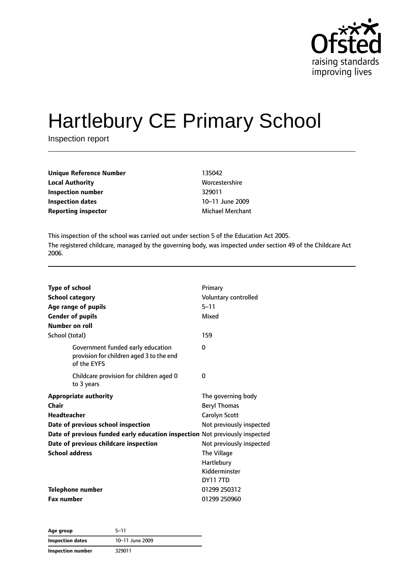

# Hartlebury CE Primary School

Inspection report

| 135042                  |
|-------------------------|
| Worcestershire          |
| 329011                  |
| 10-11 June 2009         |
| <b>Michael Merchant</b> |
|                         |

This inspection of the school was carried out under section 5 of the Education Act 2005. The registered childcare, managed by the governing body, was inspected under section 49 of the Childcare Act 2006.

| <b>Type of school</b><br><b>School category</b><br>Age range of pupils<br><b>Gender of pupils</b><br>Number on roll<br>School (total)                                                                                                              | Primary<br>Voluntary controlled<br>$5 - 11$<br>Mixed<br>159                                                                                                                         |
|----------------------------------------------------------------------------------------------------------------------------------------------------------------------------------------------------------------------------------------------------|-------------------------------------------------------------------------------------------------------------------------------------------------------------------------------------|
| Government funded early education<br>provision for children aged 3 to the end<br>of the EYFS                                                                                                                                                       | $\Omega$                                                                                                                                                                            |
| Childcare provision for children aged 0<br>to 3 years                                                                                                                                                                                              | 0                                                                                                                                                                                   |
| <b>Appropriate authority</b><br>Chair<br><b>Headteacher</b><br>Date of previous school inspection<br>Date of previous funded early education inspection Not previously inspected<br>Date of previous childcare inspection<br><b>School address</b> | The governing body<br><b>Beryl Thomas</b><br>Carolyn Scott<br>Not previously inspected<br>Not previously inspected<br>The Village<br>Hartlebury<br>Kidderminster<br><b>DY11 7TD</b> |
| <b>Telephone number</b><br><b>Fax number</b>                                                                                                                                                                                                       | 01299 250312<br>01299 250960                                                                                                                                                        |

| Age group               | $5 - 11$        |  |
|-------------------------|-----------------|--|
| <b>Inspection dates</b> | 10-11 June 2009 |  |
| Inspection number       | 329011          |  |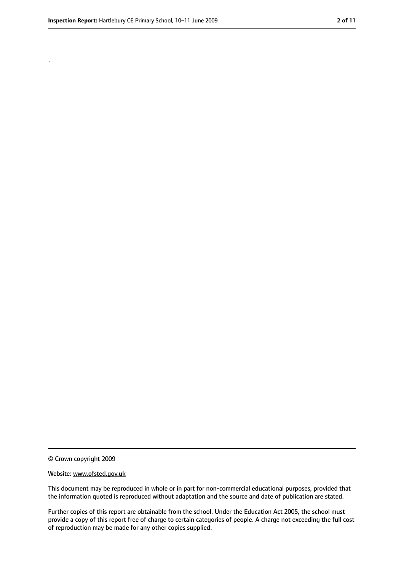.

<sup>©</sup> Crown copyright 2009

Website: www.ofsted.gov.uk

This document may be reproduced in whole or in part for non-commercial educational purposes, provided that the information quoted is reproduced without adaptation and the source and date of publication are stated.

Further copies of this report are obtainable from the school. Under the Education Act 2005, the school must provide a copy of this report free of charge to certain categories of people. A charge not exceeding the full cost of reproduction may be made for any other copies supplied.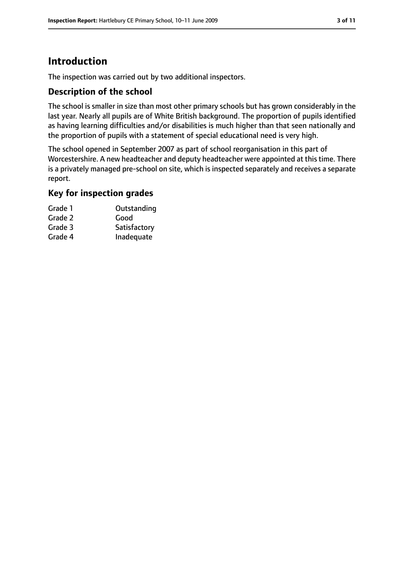# **Introduction**

The inspection was carried out by two additional inspectors.

## **Description of the school**

The school is smaller in size than most other primary schools but has grown considerably in the last year. Nearly all pupils are of White British background. The proportion of pupils identified as having learning difficulties and/or disabilities is much higher than that seen nationally and the proportion of pupils with a statement of special educational need is very high.

The school opened in September 2007 as part of school reorganisation in this part of Worcestershire. A new headteacher and deputy headteacher were appointed at this time. There is a privately managed pre-school on site, which is inspected separately and receives a separate report.

#### **Key for inspection grades**

| Grade 1 | Outstanding  |
|---------|--------------|
| Grade 2 | Good         |
| Grade 3 | Satisfactory |
| Grade 4 | Inadequate   |
|         |              |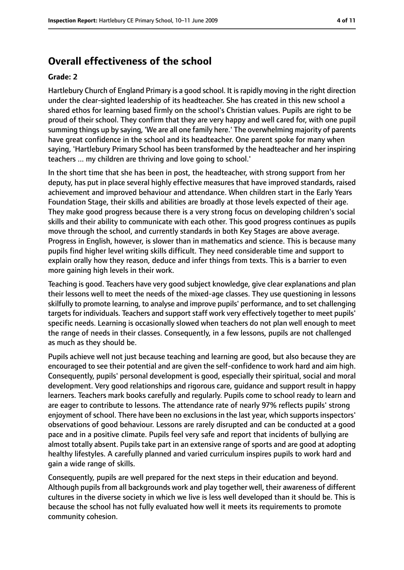# **Overall effectiveness of the school**

#### **Grade: 2**

Hartlebury Church of England Primary is a good school. It israpidly moving in the right direction under the clear-sighted leadership of its headteacher. She has created in this new school a shared ethos for learning based firmly on the school's Christian values. Pupils are right to be proud of their school. They confirm that they are very happy and well cared for, with one pupil summing things up by saying, 'We are all one family here.' The overwhelming majority of parents have great confidence in the school and its headteacher. One parent spoke for many when saying, 'Hartlebury Primary School has been transformed by the headteacher and her inspiring teachers ... my children are thriving and love going to school.'

In the short time that she has been in post, the headteacher, with strong support from her deputy, has put in place several highly effective measures that have improved standards, raised achievement and improved behaviour and attendance. When children start in the Early Years Foundation Stage, their skills and abilities are broadly at those levels expected of their age. They make good progress because there is a very strong focus on developing children's social skills and their ability to communicate with each other. This good progress continues as pupils move through the school, and currently standards in both Key Stages are above average. Progress in English, however, is slower than in mathematics and science. This is because many pupils find higher level writing skills difficult. They need considerable time and support to explain orally how they reason, deduce and infer things from texts. This is a barrier to even more gaining high levels in their work.

Teaching is good. Teachers have very good subject knowledge, give clear explanations and plan their lessons well to meet the needs of the mixed-age classes. They use questioning in lessons skilfully to promote learning, to analyse and improve pupils' performance, and to set challenging targets for individuals. Teachers and support staff work very effectively together to meet pupils' specific needs. Learning is occasionally slowed when teachers do not plan well enough to meet the range of needs in their classes. Consequently, in a few lessons, pupils are not challenged as much as they should be.

Pupils achieve well not just because teaching and learning are good, but also because they are encouraged to see their potential and are given the self-confidence to work hard and aim high. Consequently, pupils' personal development is good, especially their spiritual, social and moral development. Very good relationships and rigorous care, guidance and support result in happy learners. Teachers mark books carefully and regularly. Pupils come to school ready to learn and are eager to contribute to lessons. The attendance rate of nearly 97% reflects pupils' strong enjoyment of school. There have been no exclusions in the last year, which supports inspectors' observations of good behaviour. Lessons are rarely disrupted and can be conducted at a good pace and in a positive climate. Pupils feel very safe and report that incidents of bullying are almost totally absent. Pupils take part in an extensive range of sports and are good at adopting healthy lifestyles. A carefully planned and varied curriculum inspires pupils to work hard and gain a wide range of skills.

Consequently, pupils are well prepared for the next steps in their education and beyond. Although pupils from all backgrounds work and play together well, their awareness of different cultures in the diverse society in which we live is less well developed than it should be. This is because the school has not fully evaluated how well it meets its requirements to promote community cohesion.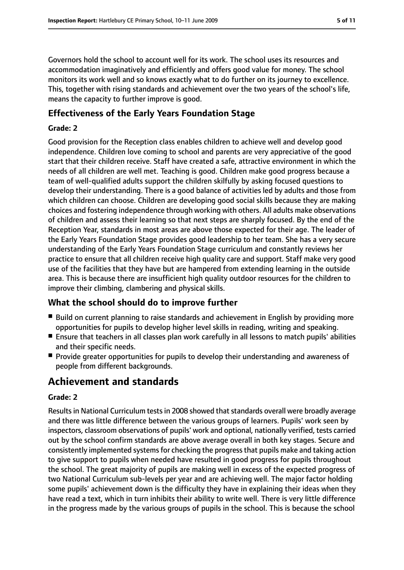Governors hold the school to account well for its work. The school uses its resources and accommodation imaginatively and efficiently and offers good value for money. The school monitors its work well and so knows exactly what to do further on its journey to excellence. This, together with rising standards and achievement over the two years of the school's life, means the capacity to further improve is good.

## **Effectiveness of the Early Years Foundation Stage**

#### **Grade: 2**

Good provision for the Reception class enables children to achieve well and develop good independence. Children love coming to school and parents are very appreciative of the good start that their children receive. Staff have created a safe, attractive environment in which the needs of all children are well met. Teaching is good. Children make good progress because a team of well-qualified adults support the children skilfully by asking focused questions to develop their understanding. There is a good balance of activities led by adults and those from which children can choose. Children are developing good social skills because they are making choices and fostering independence through working with others. All adults make observations of children and assess their learning so that next steps are sharply focused. By the end of the Reception Year, standards in most areas are above those expected for their age. The leader of the Early Years Foundation Stage provides good leadership to her team. She has a very secure understanding of the Early Years Foundation Stage curriculum and constantly reviews her practice to ensure that all children receive high quality care and support. Staff make very good use of the facilities that they have but are hampered from extending learning in the outside area. This is because there are insufficient high quality outdoor resources for the children to improve their climbing, clambering and physical skills.

# **What the school should do to improve further**

- Build on current planning to raise standards and achievement in English by providing more opportunities for pupils to develop higher level skills in reading, writing and speaking.
- Ensure that teachers in all classes plan work carefully in all lessons to match pupils' abilities and their specific needs.
- Provide greater opportunities for pupils to develop their understanding and awareness of people from different backgrounds.

# **Achievement and standards**

#### **Grade: 2**

Results in National Curriculum tests in 2008 showed that standards overall were broadly average and there was little difference between the various groups of learners. Pupils' work seen by inspectors, classroom observations of pupils' work and optional, nationally verified, tests carried out by the school confirm standards are above average overall in both key stages. Secure and consistently implemented systemsfor checking the progressthat pupils make and taking action to give support to pupils when needed have resulted in good progress for pupils throughout the school. The great majority of pupils are making well in excess of the expected progress of two National Curriculum sub-levels per year and are achieving well. The major factor holding some pupils' achievement down is the difficulty they have in explaining their ideas when they have read a text, which in turn inhibits their ability to write well. There is very little difference in the progress made by the various groups of pupils in the school. This is because the school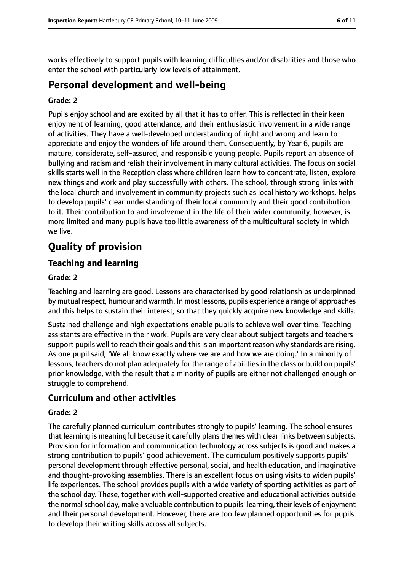works effectively to support pupils with learning difficulties and/or disabilities and those who enter the school with particularly low levels of attainment.

# **Personal development and well-being**

#### **Grade: 2**

Pupils enjoy school and are excited by all that it has to offer. This is reflected in their keen enjoyment of learning, good attendance, and their enthusiastic involvement in a wide range of activities. They have a well-developed understanding of right and wrong and learn to appreciate and enjoy the wonders of life around them. Consequently, by Year 6, pupils are mature, considerate, self-assured, and responsible young people. Pupils report an absence of bullying and racism and relish their involvement in many cultural activities. The focus on social skills starts well in the Reception class where children learn how to concentrate, listen, explore new things and work and play successfully with others. The school, through strong links with the local church and involvement in community projects such as local history workshops, helps to develop pupils' clear understanding of their local community and their good contribution to it. Their contribution to and involvement in the life of their wider community, however, is more limited and many pupils have too little awareness of the multicultural society in which we live.

# **Quality of provision**

## **Teaching and learning**

#### **Grade: 2**

Teaching and learning are good. Lessons are characterised by good relationships underpinned by mutual respect, humour and warmth. In most lessons, pupils experience a range of approaches and this helps to sustain their interest, so that they quickly acquire new knowledge and skills.

Sustained challenge and high expectations enable pupils to achieve well over time. Teaching assistants are effective in their work. Pupils are very clear about subject targets and teachers support pupils well to reach their goals and this is an important reason why standards are rising. As one pupil said, 'We all know exactly where we are and how we are doing.' In a minority of lessons, teachers do not plan adequately for the range of abilities in the class or build on pupils' prior knowledge, with the result that a minority of pupils are either not challenged enough or struggle to comprehend.

## **Curriculum and other activities**

#### **Grade: 2**

The carefully planned curriculum contributes strongly to pupils' learning. The school ensures that learning is meaningful because it carefully plans themes with clear links between subjects. Provision for information and communication technology across subjects is good and makes a strong contribution to pupils' good achievement. The curriculum positively supports pupils' personal development through effective personal, social, and health education, and imaginative and thought-provoking assemblies. There is an excellent focus on using visits to widen pupils' life experiences. The school provides pupils with a wide variety of sporting activities as part of the school day. These, together with well-supported creative and educational activities outside the normal school day, make a valuable contribution to pupils' learning, their levels of enjoyment and their personal development. However, there are too few planned opportunities for pupils to develop their writing skills across all subjects.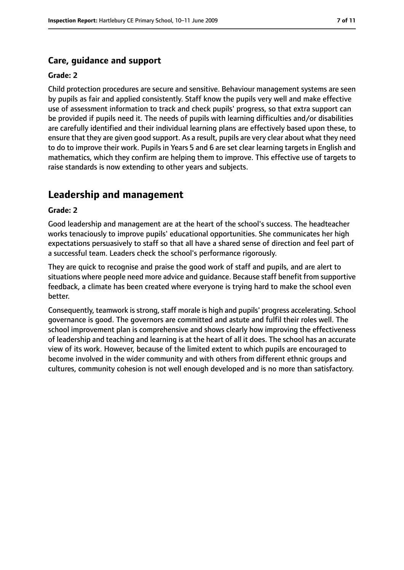## **Care, guidance and support**

#### **Grade: 2**

Child protection procedures are secure and sensitive. Behaviour management systems are seen by pupils as fair and applied consistently. Staff know the pupils very well and make effective use of assessment information to track and check pupils' progress, so that extra support can be provided if pupils need it. The needs of pupils with learning difficulties and/or disabilities are carefully identified and their individual learning plans are effectively based upon these, to ensure that they are given good support. As a result, pupils are very clear about what they need to do to improve their work. Pupils in Years 5 and 6 are set clear learning targets in English and mathematics, which they confirm are helping them to improve. This effective use of targets to raise standards is now extending to other years and subjects.

# **Leadership and management**

#### **Grade: 2**

Good leadership and management are at the heart of the school's success. The headteacher works tenaciously to improve pupils' educational opportunities. She communicates her high expectations persuasively to staff so that all have a shared sense of direction and feel part of a successful team. Leaders check the school's performance rigorously.

They are quick to recognise and praise the good work of staff and pupils, and are alert to situations where people need more advice and guidance. Because staff benefit from supportive feedback, a climate has been created where everyone is trying hard to make the school even better.

Consequently, teamwork is strong, staff morale is high and pupils' progress accelerating. School governance is good. The governors are committed and astute and fulfil their roles well. The school improvement plan is comprehensive and shows clearly how improving the effectiveness of leadership and teaching and learning is at the heart of all it does. The school has an accurate view of its work. However, because of the limited extent to which pupils are encouraged to become involved in the wider community and with others from different ethnic groups and cultures, community cohesion is not well enough developed and is no more than satisfactory.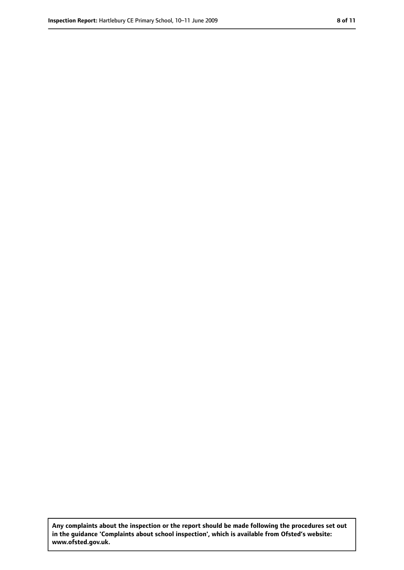**Any complaints about the inspection or the report should be made following the procedures set out in the guidance 'Complaints about school inspection', which is available from Ofsted's website: www.ofsted.gov.uk.**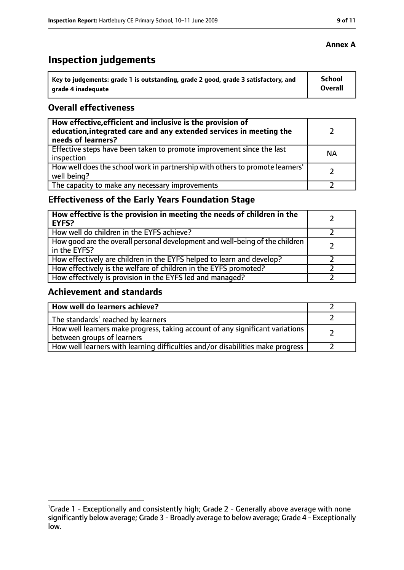# **Inspection judgements**

| Key to judgements: grade 1 is outstanding, grade 2 good, grade 3 satisfactory, and | School  |
|------------------------------------------------------------------------------------|---------|
| arade 4 inadequate                                                                 | Overall |

## **Overall effectiveness**

| How effective, efficient and inclusive is the provision of<br>education, integrated care and any extended services in meeting the<br>needs of learners? |           |
|---------------------------------------------------------------------------------------------------------------------------------------------------------|-----------|
| Effective steps have been taken to promote improvement since the last<br>inspection                                                                     | <b>NA</b> |
| How well does the school work in partnership with others to promote learners'<br>well being?                                                            |           |
| The capacity to make any necessary improvements                                                                                                         |           |

# **Effectiveness of the Early Years Foundation Stage**

| How effective is the provision in meeting the needs of children in the<br><b>EYFS?</b>       |  |
|----------------------------------------------------------------------------------------------|--|
| How well do children in the EYFS achieve?                                                    |  |
| How good are the overall personal development and well-being of the children<br>in the EYFS? |  |
| How effectively are children in the EYFS helped to learn and develop?                        |  |
| How effectively is the welfare of children in the EYFS promoted?                             |  |
| How effectively is provision in the EYFS led and managed?                                    |  |

# **Achievement and standards**

| How well do learners achieve?                                                                               |  |
|-------------------------------------------------------------------------------------------------------------|--|
| The standards <sup>1</sup> reached by learners                                                              |  |
| How well learners make progress, taking account of any significant variations<br>between groups of learners |  |
| How well learners with learning difficulties and/or disabilities make progress                              |  |

<sup>&</sup>lt;sup>1</sup>Grade 1 - Exceptionally and consistently high; Grade 2 - Generally above average with none significantly below average; Grade 3 - Broadly average to below average; Grade 4 - Exceptionally low.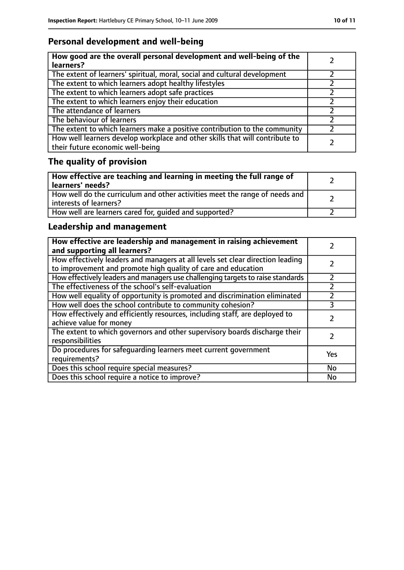# **Personal development and well-being**

| How good are the overall personal development and well-being of the<br>learners?                                 |  |
|------------------------------------------------------------------------------------------------------------------|--|
| The extent of learners' spiritual, moral, social and cultural development                                        |  |
| The extent to which learners adopt healthy lifestyles                                                            |  |
| The extent to which learners adopt safe practices                                                                |  |
| The extent to which learners enjoy their education                                                               |  |
| The attendance of learners                                                                                       |  |
| The behaviour of learners                                                                                        |  |
| The extent to which learners make a positive contribution to the community                                       |  |
| How well learners develop workplace and other skills that will contribute to<br>their future economic well-being |  |

# **The quality of provision**

| How effective are teaching and learning in meeting the full range of<br>learners' needs?              |  |
|-------------------------------------------------------------------------------------------------------|--|
| How well do the curriculum and other activities meet the range of needs and<br>interests of learners? |  |
| How well are learners cared for, quided and supported?                                                |  |

# **Leadership and management**

| How effective are leadership and management in raising achievement<br>and supporting all learners?                                              |     |
|-------------------------------------------------------------------------------------------------------------------------------------------------|-----|
| How effectively leaders and managers at all levels set clear direction leading<br>to improvement and promote high quality of care and education |     |
| How effectively leaders and managers use challenging targets to raise standards                                                                 |     |
| The effectiveness of the school's self-evaluation                                                                                               |     |
| How well equality of opportunity is promoted and discrimination eliminated                                                                      |     |
| How well does the school contribute to community cohesion?                                                                                      | 3   |
| How effectively and efficiently resources, including staff, are deployed to<br>achieve value for money                                          |     |
| The extent to which governors and other supervisory boards discharge their<br>responsibilities                                                  |     |
| Do procedures for safequarding learners meet current government<br>requirements?                                                                | Yes |
| Does this school require special measures?                                                                                                      | No  |
| Does this school require a notice to improve?                                                                                                   | No  |